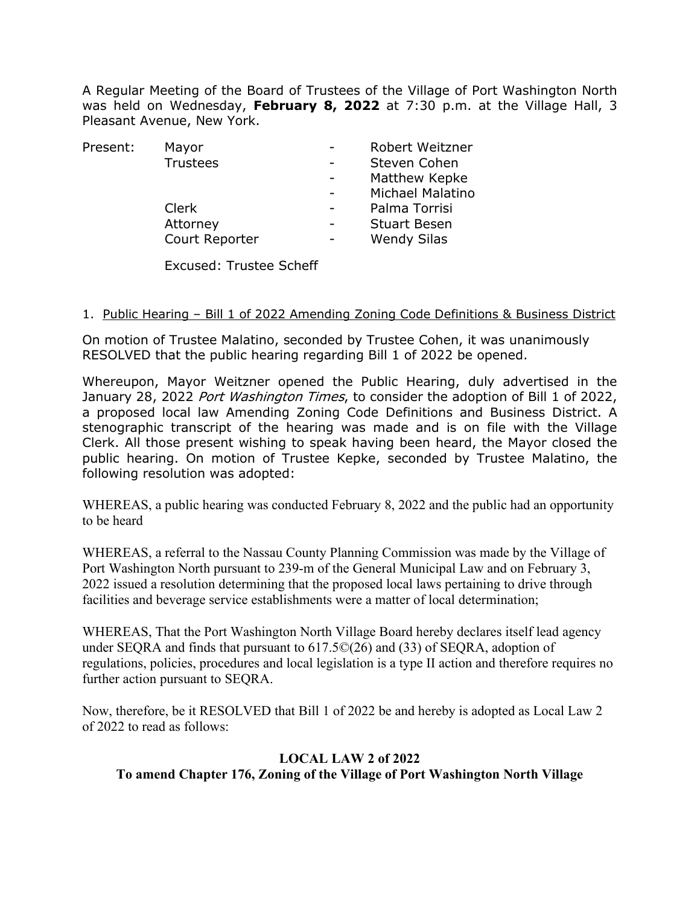A Regular Meeting of the Board of Trustees of the Village of Port Washington North was held on Wednesday, **February 8, 2022** at 7:30 p.m. at the Village Hall, 3 Pleasant Avenue, New York.

| Mayor          | Robert Weitzner         |
|----------------|-------------------------|
| Trustees       | Steven Cohen            |
|                | Matthew Kepke           |
|                | <b>Michael Malatino</b> |
| <b>Clerk</b>   | Palma Torrisi           |
| Attorney       | <b>Stuart Besen</b>     |
| Court Reporter | <b>Wendy Silas</b>      |
|                |                         |

Excused: Trustee Scheff

#### 1. Public Hearing - Bill 1 of 2022 Amending Zoning Code Definitions & Business District

On motion of Trustee Malatino, seconded by Trustee Cohen, it was unanimously RESOLVED that the public hearing regarding Bill 1 of 2022 be opened.

Whereupon, Mayor Weitzner opened the Public Hearing, duly advertised in the January 28, 2022 Port Washington Times, to consider the adoption of Bill 1 of 2022, a proposed local law Amending Zoning Code Definitions and Business District. A stenographic transcript of the hearing was made and is on file with the Village Clerk. All those present wishing to speak having been heard, the Mayor closed the public hearing. On motion of Trustee Kepke, seconded by Trustee Malatino, the following resolution was adopted:

WHEREAS, a public hearing was conducted February 8, 2022 and the public had an opportunity to be heard

WHEREAS, a referral to the Nassau County Planning Commission was made by the Village of Port Washington North pursuant to 239-m of the General Municipal Law and on February 3, 2022 issued a resolution determining that the proposed local laws pertaining to drive through facilities and beverage service establishments were a matter of local determination;

WHEREAS, That the Port Washington North Village Board hereby declares itself lead agency under SEQRA and finds that pursuant to 617.5©(26) and (33) of SEQRA, adoption of regulations, policies, procedures and local legislation is a type II action and therefore requires no further action pursuant to SEQRA.

Now, therefore, be it RESOLVED that Bill 1 of 2022 be and hereby is adopted as Local Law 2 of 2022 to read as follows:

### **LOCAL LAW 2 of 2022 To amend Chapter 176, Zoning of the Village of Port Washington North Village**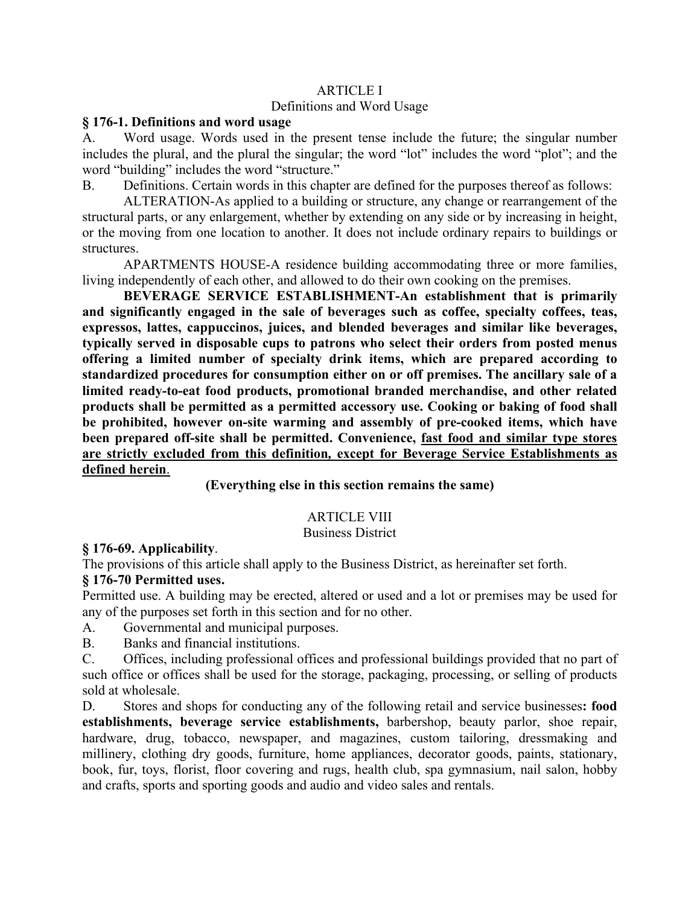### ARTICLE I Definitions and Word Usage

#### **§ 176-1. Definitions and word usage**

A. Word usage. Words used in the present tense include the future; the singular number includes the plural, and the plural the singular; the word "lot" includes the word "plot"; and the word "building" includes the word "structure."

B. Definitions. Certain words in this chapter are defined for the purposes thereof as follows:

ALTERATION-As applied to a building or structure, any change or rearrangement of the structural parts, or any enlargement, whether by extending on any side or by increasing in height, or the moving from one location to another. It does not include ordinary repairs to buildings or structures.

APARTMENTS HOUSE-A residence building accommodating three or more families, living independently of each other, and allowed to do their own cooking on the premises.

**BEVERAGE SERVICE ESTABLISHMENT-An establishment that is primarily and significantly engaged in the sale of beverages such as coffee, specialty coffees, teas, expressos, lattes, cappuccinos, juices, and blended beverages and similar like beverages, typically served in disposable cups to patrons who select their orders from posted menus offering a limited number of specialty drink items, which are prepared according to standardized procedures for consumption either on or off premises. The ancillary sale of a limited ready-to-eat food products, promotional branded merchandise, and other related products shall be permitted as a permitted accessory use. Cooking or baking of food shall be prohibited, however on-site warming and assembly of pre-cooked items, which have been prepared off-site shall be permitted. Convenience, fast food and similar type stores are strictly excluded from this definition***,* **except for Beverage Service Establishments as defined herein**.

#### **(Everything else in this section remains the same)**

#### ARTICLE VIII

#### Business District

#### **§ 176-69. Applicability**.

The provisions of this article shall apply to the Business District, as hereinafter set forth.

#### **§ 176-70 Permitted uses.**

Permitted use. A building may be erected, altered or used and a lot or premises may be used for any of the purposes set forth in this section and for no other.

A. Governmental and municipal purposes.

B. Banks and financial institutions.

C. Offices, including professional offices and professional buildings provided that no part of such office or offices shall be used for the storage, packaging, processing, or selling of products sold at wholesale.

D. Stores and shops for conducting any of the following retail and service businesses**: food establishments, beverage service establishments,** barbershop, beauty parlor, shoe repair, hardware, drug, tobacco, newspaper, and magazines, custom tailoring, dressmaking and millinery, clothing dry goods, furniture, home appliances, decorator goods, paints, stationary, book, fur, toys, florist, floor covering and rugs, health club, spa gymnasium, nail salon, hobby and crafts, sports and sporting goods and audio and video sales and rentals.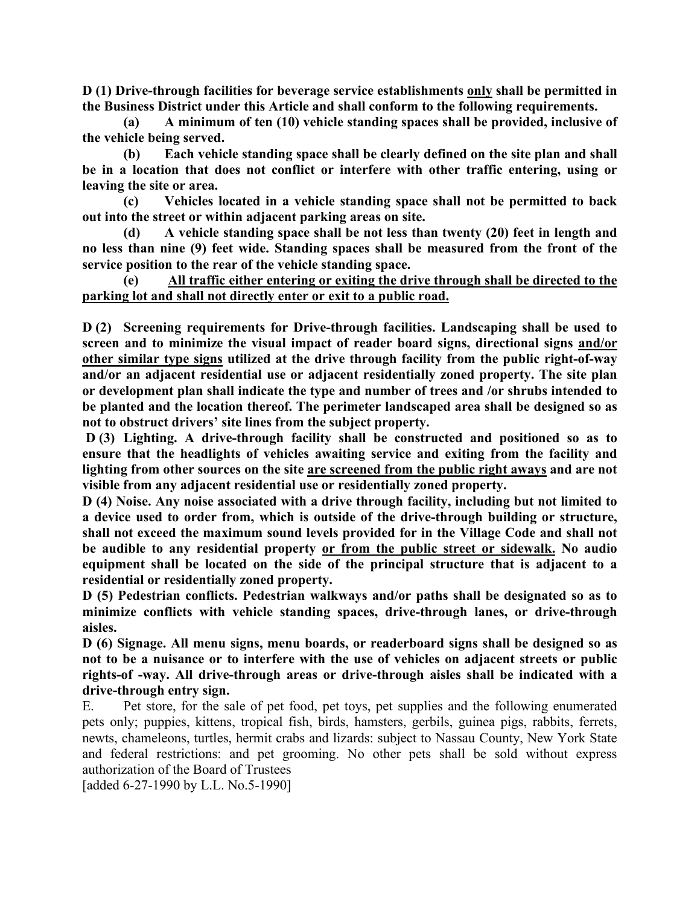**D (1) Drive-through facilities for beverage service establishments only shall be permitted in the Business District under this Article and shall conform to the following requirements.**

**(a) A minimum of ten (10) vehicle standing spaces shall be provided, inclusive of the vehicle being served.** 

**(b) Each vehicle standing space shall be clearly defined on the site plan and shall be in a location that does not conflict or interfere with other traffic entering, using or leaving the site or area.** 

**(c) Vehicles located in a vehicle standing space shall not be permitted to back out into the street or within adjacent parking areas on site.** 

**(d) A vehicle standing space shall be not less than twenty (20) feet in length and no less than nine (9) feet wide. Standing spaces shall be measured from the front of the service position to the rear of the vehicle standing space.** 

**(e) All traffic either entering or exiting the drive through shall be directed to the parking lot and shall not directly enter or exit to a public road.**

**D (2) Screening requirements for Drive-through facilities. Landscaping shall be used to screen and to minimize the visual impact of reader board signs, directional signs and/or other similar type signs utilized at the drive through facility from the public right-of-way and/or an adjacent residential use or adjacent residentially zoned property. The site plan or development plan shall indicate the type and number of trees and /or shrubs intended to be planted and the location thereof. The perimeter landscaped area shall be designed so as not to obstruct drivers' site lines from the subject property.** 

**D (3) Lighting. A drive-through facility shall be constructed and positioned so as to ensure that the headlights of vehicles awaiting service and exiting from the facility and lighting from other sources on the site are screened from the public right aways and are not visible from any adjacent residential use or residentially zoned property.** 

**D (4) Noise. Any noise associated with a drive through facility, including but not limited to a device used to order from, which is outside of the drive-through building or structure, shall not exceed the maximum sound levels provided for in the Village Code and shall not be audible to any residential property or from the public street or sidewalk. No audio equipment shall be located on the side of the principal structure that is adjacent to a residential or residentially zoned property.**

**D (5) Pedestrian conflicts. Pedestrian walkways and/or paths shall be designated so as to minimize conflicts with vehicle standing spaces, drive-through lanes, or drive-through aisles.** 

**D (6) Signage. All menu signs, menu boards, or readerboard signs shall be designed so as not to be a nuisance or to interfere with the use of vehicles on adjacent streets or public rights-of -way. All drive-through areas or drive-through aisles shall be indicated with a drive-through entry sign.** 

E. Pet store, for the sale of pet food, pet toys, pet supplies and the following enumerated pets only; puppies, kittens, tropical fish, birds, hamsters, gerbils, guinea pigs, rabbits, ferrets, newts, chameleons, turtles, hermit crabs and lizards: subject to Nassau County, New York State and federal restrictions: and pet grooming. No other pets shall be sold without express authorization of the Board of Trustees

[added 6-27-1990 by L.L. No.5-1990]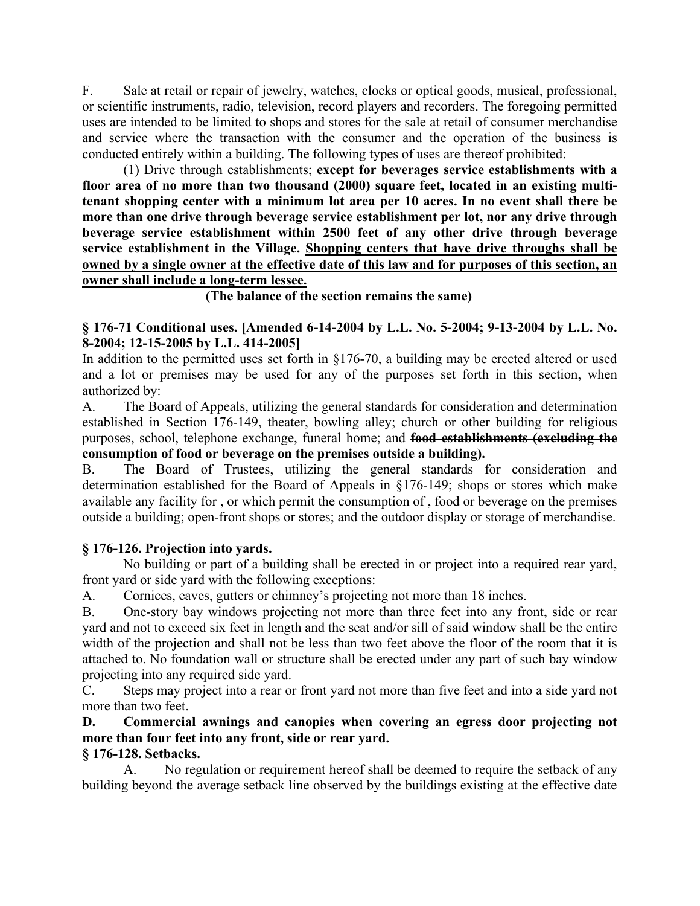F. Sale at retail or repair of jewelry, watches, clocks or optical goods, musical, professional, or scientific instruments, radio, television, record players and recorders. The foregoing permitted uses are intended to be limited to shops and stores for the sale at retail of consumer merchandise and service where the transaction with the consumer and the operation of the business is conducted entirely within a building. The following types of uses are thereof prohibited:

(1) Drive through establishments; **except for beverages service establishments with a floor area of no more than two thousand (2000) square feet, located in an existing multitenant shopping center with a minimum lot area per 10 acres. In no event shall there be more than one drive through beverage service establishment per lot, nor any drive through beverage service establishment within 2500 feet of any other drive through beverage service establishment in the Village. Shopping centers that have drive throughs shall be owned by a single owner at the effective date of this law and for purposes of this section, an owner shall include a long-term lessee.** 

**(The balance of the section remains the same)** 

### **§ 176-71 Conditional uses. [Amended 6-14-2004 by L.L. No. 5-2004; 9-13-2004 by L.L. No. 8-2004; 12-15-2005 by L.L. 414-2005]**

In addition to the permitted uses set forth in §176-70, a building may be erected altered or used and a lot or premises may be used for any of the purposes set forth in this section, when authorized by:

A. The Board of Appeals, utilizing the general standards for consideration and determination established in Section 176-149, theater, bowling alley; church or other building for religious purposes, school, telephone exchange, funeral home; and **food establishments (excluding the consumption of food or beverage on the premises outside a building).**

B. The Board of Trustees, utilizing the general standards for consideration and determination established for the Board of Appeals in §176-149; shops or stores which make available any facility for , or which permit the consumption of , food or beverage on the premises outside a building; open-front shops or stores; and the outdoor display or storage of merchandise.

### **§ 176-126. Projection into yards.**

No building or part of a building shall be erected in or project into a required rear yard, front yard or side yard with the following exceptions:

A. Cornices, eaves, gutters or chimney's projecting not more than 18 inches.

B. One-story bay windows projecting not more than three feet into any front, side or rear yard and not to exceed six feet in length and the seat and/or sill of said window shall be the entire width of the projection and shall not be less than two feet above the floor of the room that it is attached to. No foundation wall or structure shall be erected under any part of such bay window projecting into any required side yard.

C. Steps may project into a rear or front yard not more than five feet and into a side yard not more than two feet.

**D. Commercial awnings and canopies when covering an egress door projecting not more than four feet into any front, side or rear yard.** 

### **§ 176-128. Setbacks.**

A. No regulation or requirement hereof shall be deemed to require the setback of any building beyond the average setback line observed by the buildings existing at the effective date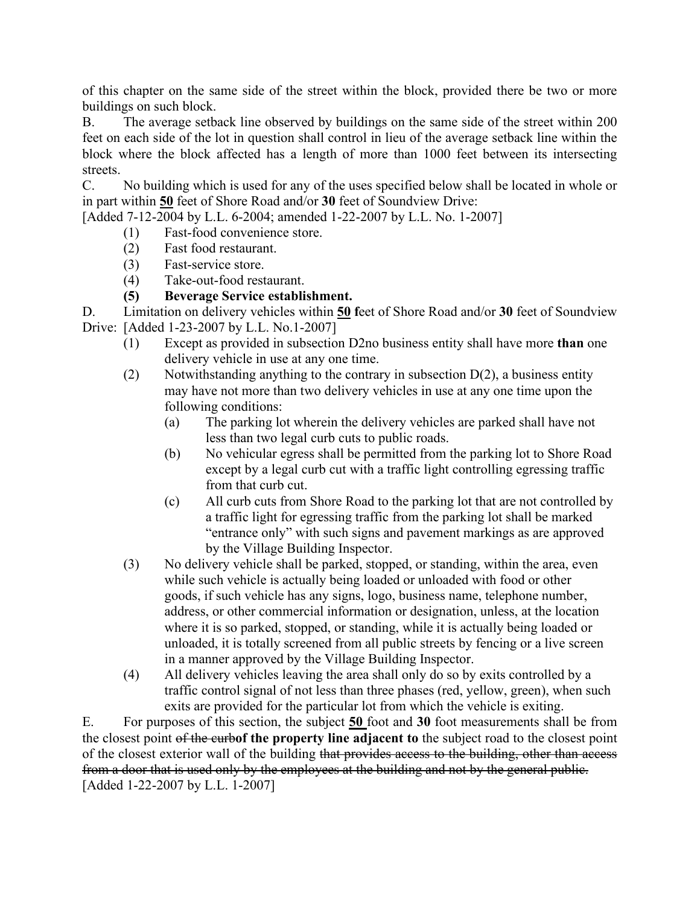of this chapter on the same side of the street within the block, provided there be two or more buildings on such block.

B. The average setback line observed by buildings on the same side of the street within 200 feet on each side of the lot in question shall control in lieu of the average setback line within the block where the block affected has a length of more than 1000 feet between its intersecting streets.

C. No building which is used for any of the uses specified below shall be located in whole or in part within **50** feet of Shore Road and/or **30** feet of Soundview Drive:

[Added 7-12-2004 by L.L. 6-2004; amended 1-22-2007 by L.L. No. 1-2007]

- (1) Fast-food convenience store.
- (2) Fast food restaurant.
- (3) Fast-service store.
- (4) Take-out-food restaurant.
- **(5) Beverage Service establishment.**

D. Limitation on delivery vehicles within **50 f**eet of Shore Road and/or **30** feet of Soundview Drive: [Added 1-23-2007 by L.L. No.1-2007]

- (1) Except as provided in subsection D2no business entity shall have more **than** one delivery vehicle in use at any one time.
- (2) Notwithstanding anything to the contrary in subsection  $D(2)$ , a business entity may have not more than two delivery vehicles in use at any one time upon the following conditions:
	- (a) The parking lot wherein the delivery vehicles are parked shall have not less than two legal curb cuts to public roads.
	- (b) No vehicular egress shall be permitted from the parking lot to Shore Road except by a legal curb cut with a traffic light controlling egressing traffic from that curb cut.
	- (c) All curb cuts from Shore Road to the parking lot that are not controlled by a traffic light for egressing traffic from the parking lot shall be marked "entrance only" with such signs and pavement markings as are approved by the Village Building Inspector.
- (3) No delivery vehicle shall be parked, stopped, or standing, within the area, even while such vehicle is actually being loaded or unloaded with food or other goods, if such vehicle has any signs, logo, business name, telephone number, address, or other commercial information or designation, unless, at the location where it is so parked, stopped, or standing, while it is actually being loaded or unloaded, it is totally screened from all public streets by fencing or a live screen in a manner approved by the Village Building Inspector.
- (4) All delivery vehicles leaving the area shall only do so by exits controlled by a traffic control signal of not less than three phases (red, yellow, green), when such exits are provided for the particular lot from which the vehicle is exiting.

E. For purposes of this section, the subject **50** foot and **30** foot measurements shall be from the closest point of the curb**of the property line adjacent to** the subject road to the closest point of the closest exterior wall of the building that provides access to the building, other than access from a door that is used only by the employees at the building and not by the general public. [Added 1-22-2007 by L.L. 1-2007]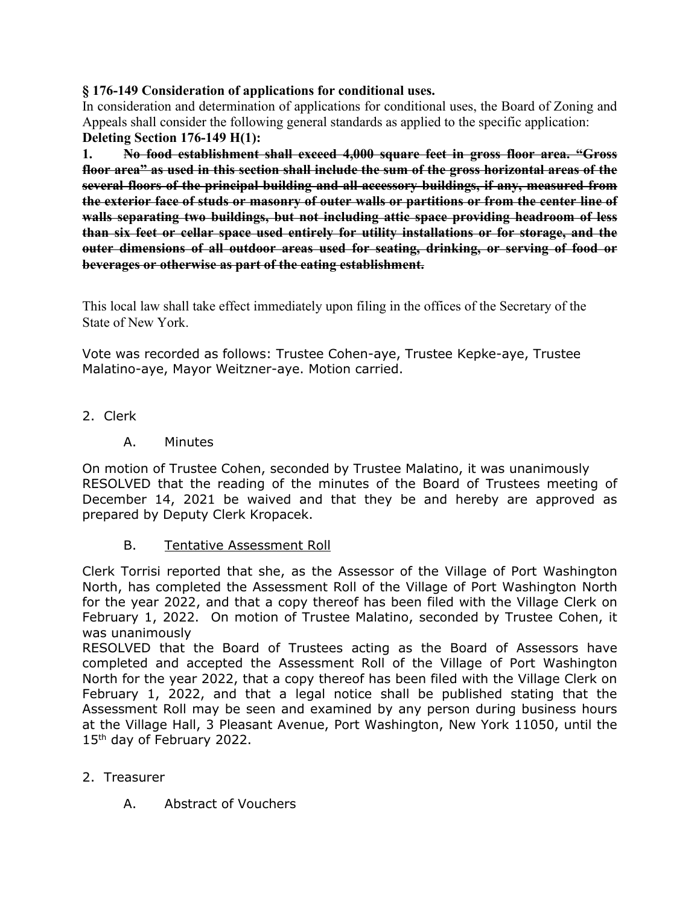### **§ 176-149 Consideration of applications for conditional uses.**

In consideration and determination of applications for conditional uses, the Board of Zoning and Appeals shall consider the following general standards as applied to the specific application: **Deleting Section 176-149 H(1):**

**1. No food establishment shall exceed 4,000 square feet in gross floor area. "Gross floor area" as used in this section shall include the sum of the gross horizontal areas of the several floors of the principal building and all accessory buildings, if any, measured from the exterior face of studs or masonry of outer walls or partitions or from the center line of walls separating two buildings, but not including attic space providing headroom of less than six feet or cellar space used entirely for utility installations or for storage, and the outer dimensions of all outdoor areas used for seating, drinking, or serving of food or beverages or otherwise as part of the eating establishment.** 

This local law shall take effect immediately upon filing in the offices of the Secretary of the State of New York.

Vote was recorded as follows: Trustee Cohen-aye, Trustee Kepke-aye, Trustee Malatino-aye, Mayor Weitzner-aye. Motion carried.

- 2. Clerk
	- A. Minutes

On motion of Trustee Cohen, seconded by Trustee Malatino, it was unanimously RESOLVED that the reading of the minutes of the Board of Trustees meeting of December 14, 2021 be waived and that they be and hereby are approved as prepared by Deputy Clerk Kropacek.

B. Tentative Assessment Roll

Clerk Torrisi reported that she, as the Assessor of the Village of Port Washington North, has completed the Assessment Roll of the Village of Port Washington North for the year 2022, and that a copy thereof has been filed with the Village Clerk on February 1, 2022. On motion of Trustee Malatino, seconded by Trustee Cohen, it was unanimously

RESOLVED that the Board of Trustees acting as the Board of Assessors have completed and accepted the Assessment Roll of the Village of Port Washington North for the year 2022, that a copy thereof has been filed with the Village Clerk on February 1, 2022, and that a legal notice shall be published stating that the Assessment Roll may be seen and examined by any person during business hours at the Village Hall, 3 Pleasant Avenue, Port Washington, New York 11050, until the 15<sup>th</sup> day of February 2022.

- 2. Treasurer
	- A. Abstract of Vouchers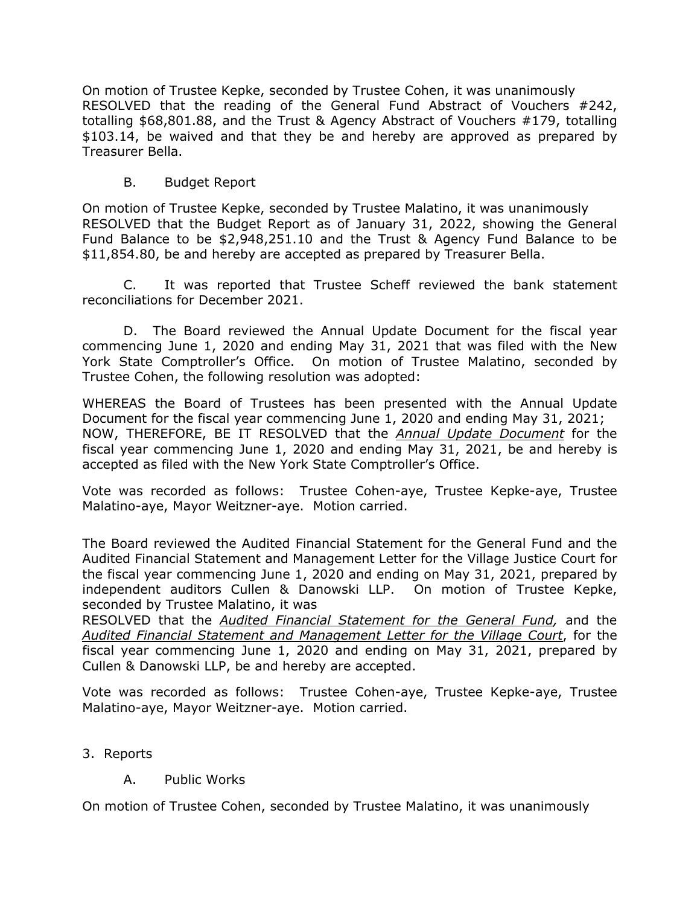On motion of Trustee Kepke, seconded by Trustee Cohen, it was unanimously RESOLVED that the reading of the General Fund Abstract of Vouchers #242, totalling \$68,801.88, and the Trust & Agency Abstract of Vouchers #179, totalling \$103.14, be waived and that they be and hereby are approved as prepared by Treasurer Bella.

### B. Budget Report

On motion of Trustee Kepke, seconded by Trustee Malatino, it was unanimously RESOLVED that the Budget Report as of January 31, 2022, showing the General Fund Balance to be \$2,948,251.10 and the Trust & Agency Fund Balance to be \$11,854.80, be and hereby are accepted as prepared by Treasurer Bella.

C. It was reported that Trustee Scheff reviewed the bank statement reconciliations for December 2021.

D. The Board reviewed the Annual Update Document for the fiscal year commencing June 1, 2020 and ending May 31, 2021 that was filed with the New York State Comptroller's Office. On motion of Trustee Malatino, seconded by Trustee Cohen, the following resolution was adopted:

WHEREAS the Board of Trustees has been presented with the Annual Update Document for the fiscal year commencing June 1, 2020 and ending May 31, 2021; NOW, THEREFORE, BE IT RESOLVED that the *Annual Update Document* for the fiscal year commencing June 1, 2020 and ending May 31, 2021, be and hereby is accepted as filed with the New York State Comptroller's Office.

Vote was recorded as follows: Trustee Cohen-aye, Trustee Kepke-aye, Trustee Malatino-aye, Mayor Weitzner-aye. Motion carried.

The Board reviewed the Audited Financial Statement for the General Fund and the Audited Financial Statement and Management Letter for the Village Justice Court for the fiscal year commencing June 1, 2020 and ending on May 31, 2021, prepared by independent auditors Cullen & Danowski LLP. On motion of Trustee Kepke, seconded by Trustee Malatino, it was

RESOLVED that the *Audited Financial Statement for the General Fund,* and the *Audited Financial Statement and Management Letter for the Village Court*, for the fiscal year commencing June 1, 2020 and ending on May 31, 2021, prepared by Cullen & Danowski LLP, be and hereby are accepted.

Vote was recorded as follows: Trustee Cohen-aye, Trustee Kepke-aye, Trustee Malatino-aye, Mayor Weitzner-aye. Motion carried.

- 3. Reports
	- A. Public Works

On motion of Trustee Cohen, seconded by Trustee Malatino, it was unanimously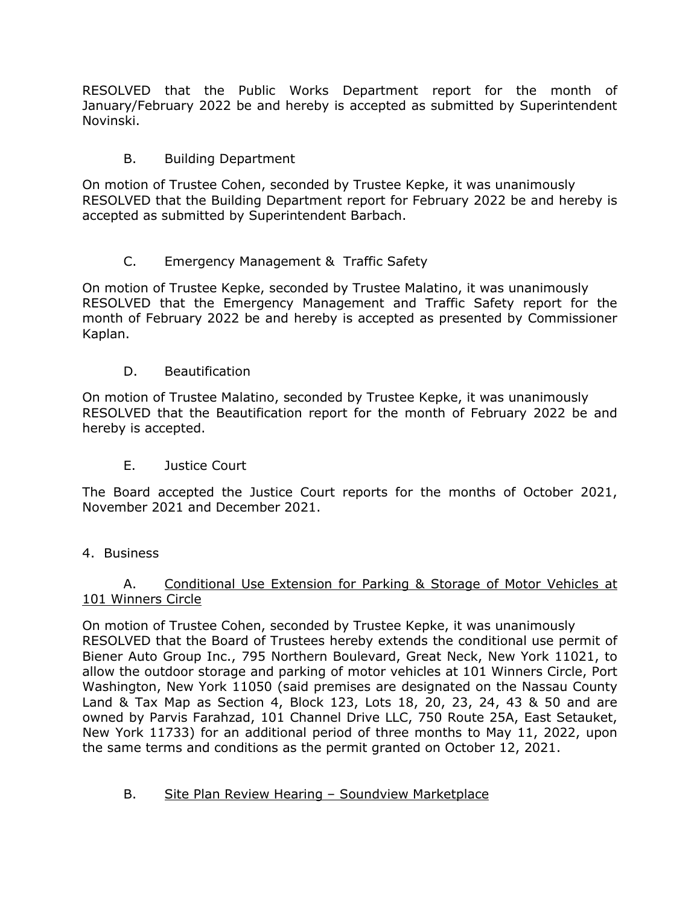RESOLVED that the Public Works Department report for the month of January/February 2022 be and hereby is accepted as submitted by Superintendent Novinski.

## B. Building Department

On motion of Trustee Cohen, seconded by Trustee Kepke, it was unanimously RESOLVED that the Building Department report for February 2022 be and hereby is accepted as submitted by Superintendent Barbach.

# C. Emergency Management & Traffic Safety

On motion of Trustee Kepke, seconded by Trustee Malatino, it was unanimously RESOLVED that the Emergency Management and Traffic Safety report for the month of February 2022 be and hereby is accepted as presented by Commissioner Kaplan.

D. Beautification

On motion of Trustee Malatino, seconded by Trustee Kepke, it was unanimously RESOLVED that the Beautification report for the month of February 2022 be and hereby is accepted.

E. Justice Court

The Board accepted the Justice Court reports for the months of October 2021, November 2021 and December 2021.

## 4. Business

### A. Conditional Use Extension for Parking & Storage of Motor Vehicles at 101 Winners Circle

On motion of Trustee Cohen, seconded by Trustee Kepke, it was unanimously RESOLVED that the Board of Trustees hereby extends the conditional use permit of Biener Auto Group Inc., 795 Northern Boulevard, Great Neck, New York 11021, to allow the outdoor storage and parking of motor vehicles at 101 Winners Circle, Port Washington, New York 11050 (said premises are designated on the Nassau County Land & Tax Map as Section 4, Block 123, Lots 18, 20, 23, 24, 43 & 50 and are owned by Parvis Farahzad, 101 Channel Drive LLC, 750 Route 25A, East Setauket, New York 11733) for an additional period of three months to May 11, 2022, upon the same terms and conditions as the permit granted on October 12, 2021.

## B. Site Plan Review Hearing – Soundview Marketplace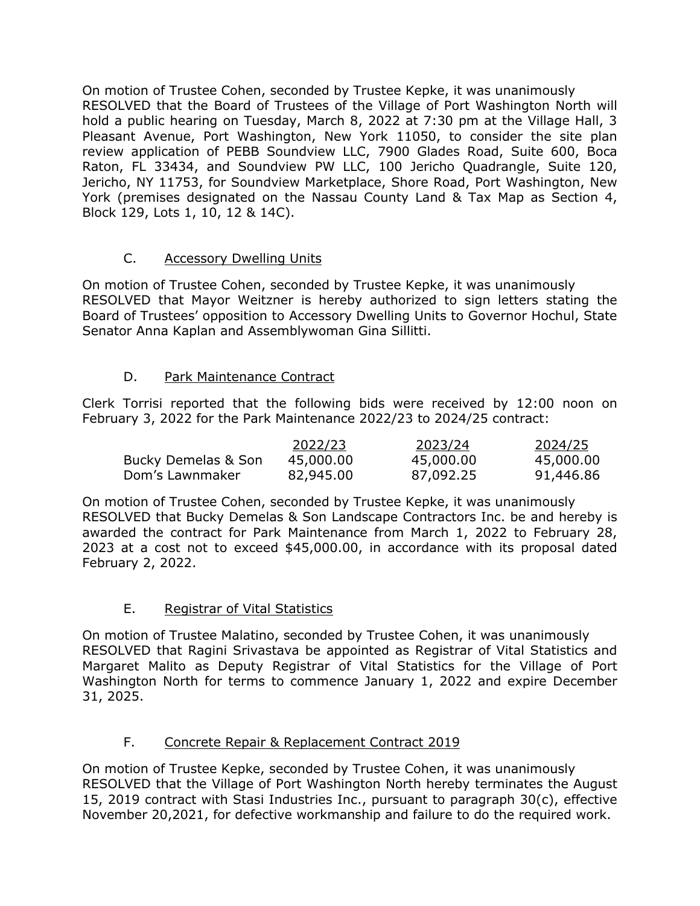On motion of Trustee Cohen, seconded by Trustee Kepke, it was unanimously RESOLVED that the Board of Trustees of the Village of Port Washington North will hold a public hearing on Tuesday, March 8, 2022 at 7:30 pm at the Village Hall, 3 Pleasant Avenue, Port Washington, New York 11050, to consider the site plan review application of PEBB Soundview LLC, 7900 Glades Road, Suite 600, Boca Raton, FL 33434, and Soundview PW LLC, 100 Jericho Quadrangle, Suite 120, Jericho, NY 11753, for Soundview Marketplace, Shore Road, Port Washington, New York (premises designated on the Nassau County Land & Tax Map as Section 4, Block 129, Lots 1, 10, 12 & 14C).

## C. Accessory Dwelling Units

On motion of Trustee Cohen, seconded by Trustee Kepke, it was unanimously RESOLVED that Mayor Weitzner is hereby authorized to sign letters stating the Board of Trustees' opposition to Accessory Dwelling Units to Governor Hochul, State Senator Anna Kaplan and Assemblywoman Gina Sillitti.

# D. Park Maintenance Contract

Clerk Torrisi reported that the following bids were received by 12:00 noon on February 3, 2022 for the Park Maintenance 2022/23 to 2024/25 contract:

|                     | 2022/23   | 2023/24   | 2024/25   |
|---------------------|-----------|-----------|-----------|
| Bucky Demelas & Son | 45,000.00 | 45,000.00 | 45,000.00 |
| Dom's Lawnmaker     | 82,945.00 | 87,092.25 | 91,446.86 |

On motion of Trustee Cohen, seconded by Trustee Kepke, it was unanimously RESOLVED that Bucky Demelas & Son Landscape Contractors Inc. be and hereby is awarded the contract for Park Maintenance from March 1, 2022 to February 28, 2023 at a cost not to exceed \$45,000.00, in accordance with its proposal dated February 2, 2022.

## E. Registrar of Vital Statistics

On motion of Trustee Malatino, seconded by Trustee Cohen, it was unanimously RESOLVED that Ragini Srivastava be appointed as Registrar of Vital Statistics and Margaret Malito as Deputy Registrar of Vital Statistics for the Village of Port Washington North for terms to commence January 1, 2022 and expire December 31, 2025.

## F. Concrete Repair & Replacement Contract 2019

On motion of Trustee Kepke, seconded by Trustee Cohen, it was unanimously RESOLVED that the Village of Port Washington North hereby terminates the August 15, 2019 contract with Stasi Industries Inc., pursuant to paragraph 30(c), effective November 20,2021, for defective workmanship and failure to do the required work.